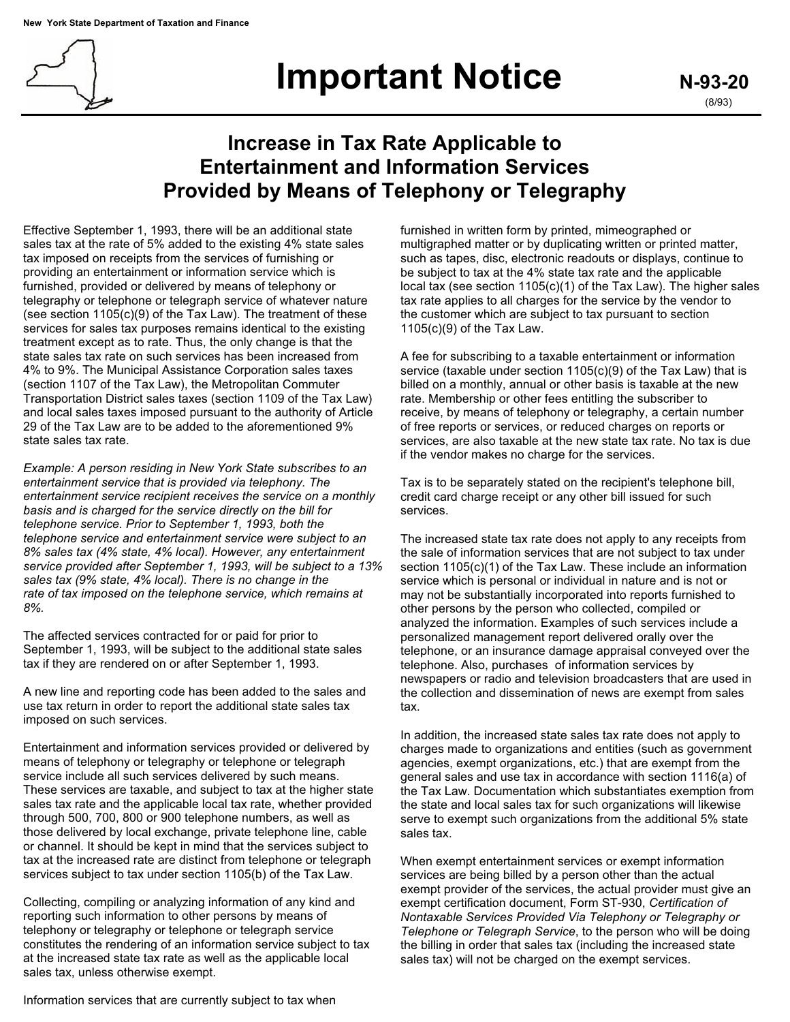

## **Important Notice** N-93-20

## **Increase in Tax Rate Applicable to Entertainment and Information Services Provided by Means of Telephony or Telegraphy**

Effective September 1, 1993, there will be an additional state sales tax at the rate of 5% added to the existing 4% state sales tax imposed on receipts from the services of furnishing or providing an entertainment or information service which is furnished, provided or delivered by means of telephony or telegraphy or telephone or telegraph service of whatever nature (see section 1105(c)(9) of the Tax Law). The treatment of these services for sales tax purposes remains identical to the existing treatment except as to rate. Thus, the only change is that the state sales tax rate on such services has been increased from 4% to 9%. The Municipal Assistance Corporation sales taxes (section 1107 of the Tax Law), the Metropolitan Commuter Transportation District sales taxes (section 1109 of the Tax Law) and local sales taxes imposed pursuant to the authority of Article 29 of the Tax Law are to be added to the aforementioned 9% state sales tax rate.

*Example: A person residing in New York State subscribes to an entertainment service that is provided via telephony. The entertainment service recipient receives the service on a monthly basis and is charged for the service directly on the bill for telephone service. Prior to September 1, 1993, both the telephone service and entertainment service were subject to an 8% sales tax (4% state, 4% local). However, any entertainment service provided after September 1, 1993, will be subject to a 13% sales tax (9% state, 4% local). There is no change in the rate of tax imposed on the telephone service, which remains at 8%.* 

The affected services contracted for or paid for prior to September 1, 1993, will be subject to the additional state sales tax if they are rendered on or after September 1, 1993.

A new line and reporting code has been added to the sales and use tax return in order to report the additional state sales tax imposed on such services.

Entertainment and information services provided or delivered by means of telephony or telegraphy or telephone or telegraph service include all such services delivered by such means. These services are taxable, and subject to tax at the higher state sales tax rate and the applicable local tax rate, whether provided through 500, 700, 800 or 900 telephone numbers, as well as those delivered by local exchange, private telephone line, cable or channel. It should be kept in mind that the services subject to tax at the increased rate are distinct from telephone or telegraph services subject to tax under section 1105(b) of the Tax Law.

Collecting, compiling or analyzing information of any kind and reporting such information to other persons by means of telephony or telegraphy or telephone or telegraph service constitutes the rendering of an information service subject to tax at the increased state tax rate as well as the applicable local sales tax, unless otherwise exempt.

furnished in written form by printed, mimeographed or multigraphed matter or by duplicating written or printed matter, such as tapes, disc, electronic readouts or displays, continue to be subject to tax at the 4% state tax rate and the applicable local tax (see section 1105(c)(1) of the Tax Law). The higher sales tax rate applies to all charges for the service by the vendor to the customer which are subject to tax pursuant to section 1105(c)(9) of the Tax Law.

A fee for subscribing to a taxable entertainment or information service (taxable under section 1105(c)(9) of the Tax Law) that is billed on a monthly, annual or other basis is taxable at the new rate. Membership or other fees entitling the subscriber to receive, by means of telephony or telegraphy, a certain number of free reports or services, or reduced charges on reports or services, are also taxable at the new state tax rate. No tax is due if the vendor makes no charge for the services.

Tax is to be separately stated on the recipient's telephone bill, credit card charge receipt or any other bill issued for such services.

The increased state tax rate does not apply to any receipts from the sale of information services that are not subject to tax under section 1105(c)(1) of the Tax Law. These include an information service which is personal or individual in nature and is not or may not be substantially incorporated into reports furnished to other persons by the person who collected, compiled or analyzed the information. Examples of such services include a personalized management report delivered orally over the telephone, or an insurance damage appraisal conveyed over the telephone. Also, purchases of information services by newspapers or radio and television broadcasters that are used in the collection and dissemination of news are exempt from sales tax.

In addition, the increased state sales tax rate does not apply to charges made to organizations and entities (such as government agencies, exempt organizations, etc.) that are exempt from the general sales and use tax in accordance with section 1116(a) of the Tax Law. Documentation which substantiates exemption from the state and local sales tax for such organizations will likewise serve to exempt such organizations from the additional 5% state sales tax.

When exempt entertainment services or exempt information services are being billed by a person other than the actual exempt provider of the services, the actual provider must give an exempt certification document, Form ST-930, *Certification of Nontaxable Services Provided Via Telephony or Telegraphy or Telephone or Telegraph Service*, to the person who will be doing the billing in order that sales tax (including the increased state sales tax) will not be charged on the exempt services.